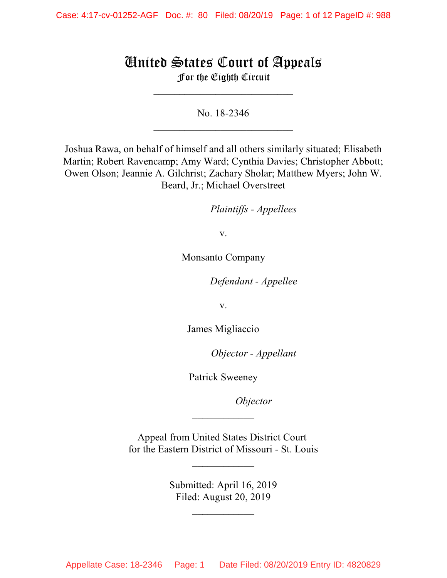# United States Court of Appeals For the Eighth Circuit

No. 18-2346  $\mathcal{L}_\text{max}$  , where  $\mathcal{L}_\text{max}$  , we have the set of the set of the set of the set of the set of the set of the set of the set of the set of the set of the set of the set of the set of the set of the set of the set of

 $\overline{\phantom{a}}$  , which is a set of the set of the set of the set of the set of the set of the set of the set of the set of the set of the set of the set of the set of the set of the set of the set of the set of the set of th

Joshua Rawa, on behalf of himself and all others similarly situated; Elisabeth Martin; Robert Ravencamp; Amy Ward; Cynthia Davies; Christopher Abbott; Owen Olson; Jeannie A. Gilchrist; Zachary Sholar; Matthew Myers; John W. Beard, Jr.; Michael Overstreet

*Plaintiffs - Appellees* 

v.

Monsanto Company

Defendant - Appellee

v.

James Migliaccio

*Objector - Appellant* 

Patrick Sweeney

*Objector* 

Appeal from United States District Court for the Eastern District of Missouri - St. Louis

 $\overline{\phantom{a}}$  , where  $\overline{\phantom{a}}$ 

 $\frac{1}{2}$ 

Submitted: April 16, 2019 Filed: August 20, 2019

 $\frac{1}{2}$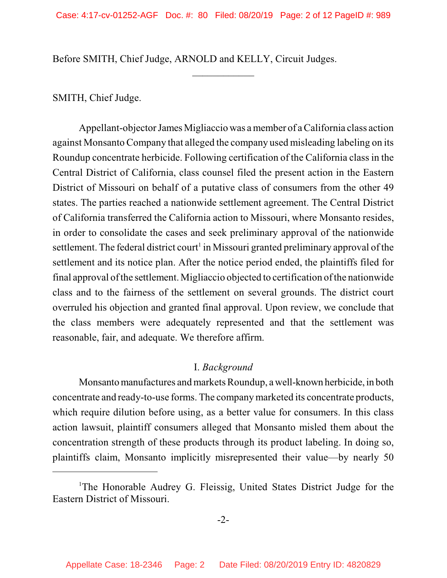$\frac{1}{2}$ 

Before SMITH, Chief Judge, ARNOLD and KELLY, Circuit Judges.

SMITH, Chief Judge.

Appellant-objector James Migliaccio was a member of a California class action against Monsanto Company that alleged the company used misleading labeling on its Roundup concentrate herbicide. Following certification of the California class in the Central District of California, class counsel filed the present action in the Eastern District of Missouri on behalf of a putative class of consumers from the other 49 states. The parties reached a nationwide settlement agreement. The Central District of California transferred the California action to Missouri, where Monsanto resides, in order to consolidate the cases and seek preliminary approval of the nationwide settlement. The federal district court<sup>1</sup> in Missouri granted preliminary approval of the settlement and its notice plan. After the notice period ended, the plaintiffs filed for final approval of the settlement. Migliaccio objected to certification of the nationwide class and to the fairness of the settlement on several grounds. The district court overruled his objection and granted final approval. Upon review, we conclude that the class members were adequately represented and that the settlement was reasonable, fair, and adequate. We therefore affirm.

### I. *Background*

Monsanto manufactures and markets Roundup, a well-known herbicide, in both concentrate and ready-to-use forms. The companymarketed its concentrate products, which require dilution before using, as a better value for consumers. In this class action lawsuit, plaintiff consumers alleged that Monsanto misled them about the concentration strength of these products through its product labeling. In doing so, plaintiffs claim, Monsanto implicitly misrepresented their value—by nearly 50

-2-

<sup>&</sup>lt;sup>1</sup>The Honorable Audrey G. Fleissig, United States District Judge for the Eastern District of Missouri.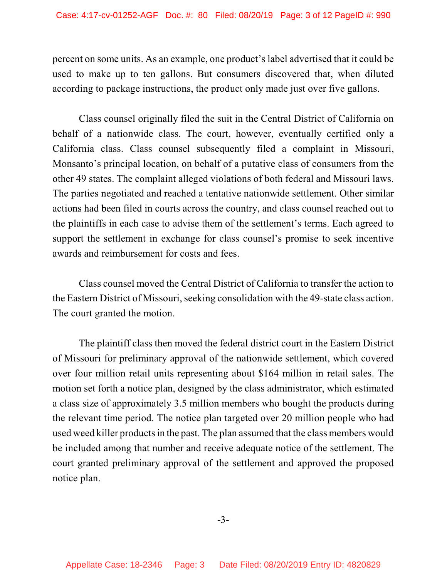percent on some units. As an example, one product's label advertised that it could be used to make up to ten gallons. But consumers discovered that, when diluted according to package instructions, the product only made just over five gallons.

Class counsel originally filed the suit in the Central District of California on behalf of a nationwide class. The court, however, eventually certified only a California class. Class counsel subsequently filed a complaint in Missouri, Monsanto's principal location, on behalf of a putative class of consumers from the other 49 states. The complaint alleged violations of both federal and Missouri laws. The parties negotiated and reached a tentative nationwide settlement. Other similar actions had been filed in courts across the country, and class counsel reached out to the plaintiffs in each case to advise them of the settlement's terms. Each agreed to support the settlement in exchange for class counsel's promise to seek incentive awards and reimbursement for costs and fees.

Class counsel moved the Central District of California to transfer the action to the Eastern District of Missouri, seeking consolidation with the 49-state class action. The court granted the motion.

The plaintiff class then moved the federal district court in the Eastern District of Missouri for preliminary approval of the nationwide settlement, which covered over four million retail units representing about \$164 million in retail sales. The motion set forth a notice plan, designed by the class administrator, which estimated a class size of approximately 3.5 million members who bought the products during the relevant time period. The notice plan targeted over 20 million people who had used weed killer products in the past. The plan assumed that the class members would be included among that number and receive adequate notice of the settlement. The court granted preliminary approval of the settlement and approved the proposed notice plan.

-3-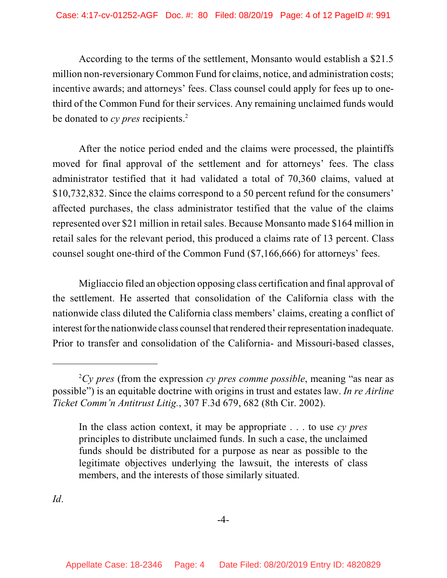According to the terms of the settlement, Monsanto would establish a \$21.5 million non-reversionary Common Fund for claims, notice, and administration costs; incentive awards; and attorneys' fees. Class counsel could apply for fees up to onethird of the Common Fund for their services. Any remaining unclaimed funds would be donated to *cy pres* recipients. 2

After the notice period ended and the claims were processed, the plaintiffs moved for final approval of the settlement and for attorneys' fees. The class administrator testified that it had validated a total of 70,360 claims, valued at \$10,732,832. Since the claims correspond to a 50 percent refund for the consumers' affected purchases, the class administrator testified that the value of the claims represented over \$21 million in retailsales. Because Monsanto made \$164 million in retail sales for the relevant period, this produced a claims rate of 13 percent. Class counsel sought one-third of the Common Fund (\$7,166,666) for attorneys' fees.

Migliaccio filed an objection opposing class certification and final approval of the settlement. He asserted that consolidation of the California class with the nationwide class diluted the California class members' claims, creating a conflict of interest for the nationwide class counsel that rendered their representation inadequate. Prior to transfer and consolidation of the California- and Missouri-based classes,

*Id*.

 ${}^{2}Cy$  *pres* (from the expression *cy pres comme possible*, meaning "as near as possible") is an equitable doctrine with origins in trust and estates law. *In re Airline Ticket Comm'n Antitrust Litig.*, 307 F.3d 679, 682 (8th Cir. 2002).

In the class action context, it may be appropriate . . . to use *cy pres* principles to distribute unclaimed funds. In such a case, the unclaimed funds should be distributed for a purpose as near as possible to the legitimate objectives underlying the lawsuit, the interests of class members, and the interests of those similarly situated.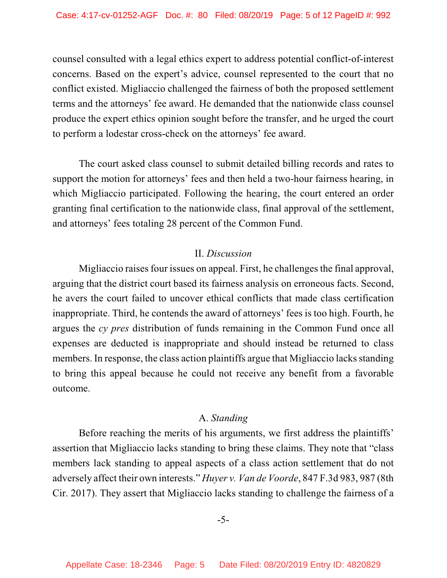counsel consulted with a legal ethics expert to address potential conflict-of-interest concerns. Based on the expert's advice, counsel represented to the court that no conflict existed. Migliaccio challenged the fairness of both the proposed settlement terms and the attorneys' fee award. He demanded that the nationwide class counsel produce the expert ethics opinion sought before the transfer, and he urged the court to perform a lodestar cross-check on the attorneys' fee award.

The court asked class counsel to submit detailed billing records and rates to support the motion for attorneys' fees and then held a two-hour fairness hearing, in which Migliaccio participated. Following the hearing, the court entered an order granting final certification to the nationwide class, final approval of the settlement, and attorneys' fees totaling 28 percent of the Common Fund.

### II. *Discussion*

Migliaccio raises four issues on appeal. First, he challenges the final approval, arguing that the district court based its fairness analysis on erroneous facts. Second, he avers the court failed to uncover ethical conflicts that made class certification inappropriate. Third, he contends the award of attorneys' fees is too high. Fourth, he argues the *cy pres* distribution of funds remaining in the Common Fund once all expenses are deducted is inappropriate and should instead be returned to class members. In response, the class action plaintiffs argue that Migliaccio lacks standing to bring this appeal because he could not receive any benefit from a favorable outcome.

## A. *Standing*

Before reaching the merits of his arguments, we first address the plaintiffs' assertion that Migliaccio lacks standing to bring these claims. They note that "class members lack standing to appeal aspects of a class action settlement that do not adversely affect their own interests." *Huyer v. Van de Voorde*, 847 F.3d 983, 987 (8th Cir. 2017). They assert that Migliaccio lacks standing to challenge the fairness of a

### -5-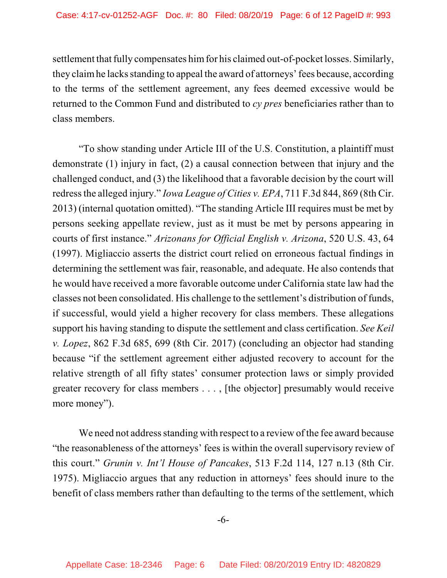settlement that fully compensates him for his claimed out-of-pocket losses. Similarly, they claimhe lacks standing to appeal the award of attorneys'fees because, according to the terms of the settlement agreement, any fees deemed excessive would be returned to the Common Fund and distributed to *cy pres* beneficiaries rather than to class members.

"To show standing under Article III of the U.S. Constitution, a plaintiff must demonstrate (1) injury in fact, (2) a causal connection between that injury and the challenged conduct, and (3) the likelihood that a favorable decision by the court will redressthe alleged injury." *Iowa League of Cities v. EPA*, 711 F.3d 844, 869 (8th Cir. 2013) (internal quotation omitted). "The standing Article III requires must be met by persons seeking appellate review, just as it must be met by persons appearing in courts of first instance." *Arizonans for Official English v. Arizona*, 520 U.S. 43, 64 (1997). Migliaccio asserts the district court relied on erroneous factual findings in determining the settlement was fair, reasonable, and adequate. He also contends that he would have received a more favorable outcome under California state law had the classes not been consolidated. His challenge to the settlement's distribution of funds, if successful, would yield a higher recovery for class members. These allegations support his having standing to dispute the settlement and class certification. *See Keil v. Lopez*, 862 F.3d 685, 699 (8th Cir. 2017) (concluding an objector had standing because "if the settlement agreement either adjusted recovery to account for the relative strength of all fifty states' consumer protection laws or simply provided greater recovery for class members . . . , [the objector] presumably would receive more money").

We need not address standing with respect to a review of the fee award because "the reasonableness of the attorneys' fees is within the overall supervisory review of this court." *Grunin v. Int'l House of Pancakes*, 513 F.2d 114, 127 n.13 (8th Cir. 1975). Migliaccio argues that any reduction in attorneys' fees should inure to the benefit of class members rather than defaulting to the terms of the settlement, which

-6-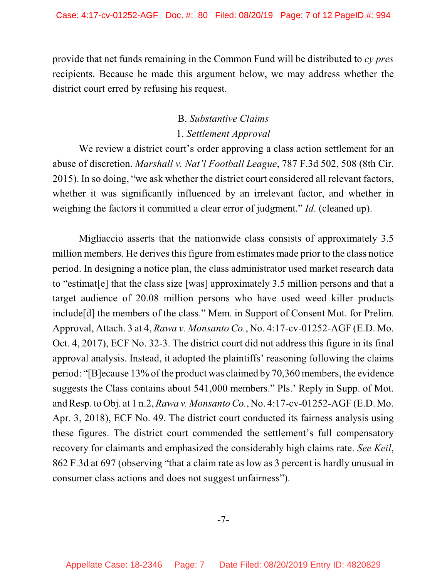provide that net funds remaining in the Common Fund will be distributed to *cy pres* recipients. Because he made this argument below, we may address whether the district court erred by refusing his request.

## B. *Substantive Claims* 1. *Settlement Approval*

We review a district court's order approving a class action settlement for an abuse of discretion. *Marshall v. Nat'l Football League*, 787 F.3d 502, 508 (8th Cir. 2015). In so doing, "we ask whether the district court considered all relevant factors, whether it was significantly influenced by an irrelevant factor, and whether in weighing the factors it committed a clear error of judgment." *Id*. (cleaned up).

Migliaccio asserts that the nationwide class consists of approximately 3.5 million members. He derives this figure from estimates made prior to the class notice period. In designing a notice plan, the class administrator used market research data to "estimat[e] that the class size [was] approximately 3.5 million persons and that a target audience of 20.08 million persons who have used weed killer products include[d] the members of the class." Mem. in Support of Consent Mot. for Prelim. Approval, Attach. 3 at 4, *Rawa v. Monsanto Co.*, No. 4:17-cv-01252-AGF (E.D. Mo. Oct. 4, 2017), ECF No. 32-3. The district court did not address this figure in its final approval analysis. Instead, it adopted the plaintiffs' reasoning following the claims period: "[B]ecause 13% of the product was claimed by 70,360 members, the evidence suggests the Class contains about 541,000 members." Pls.' Reply in Supp. of Mot. and Resp. to Obj. at 1 n.2, *Rawa v. Monsanto Co.*, No. 4:17-cv-01252-AGF (E.D. Mo. Apr. 3, 2018), ECF No. 49. The district court conducted its fairness analysis using these figures. The district court commended the settlement's full compensatory recovery for claimants and emphasized the considerably high claims rate. *See Keil*, 862 F.3d at 697 (observing "that a claim rate as low as 3 percent is hardly unusual in consumer class actions and does not suggest unfairness").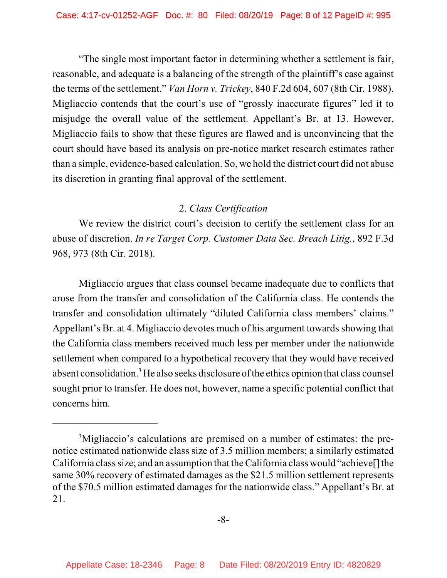"The single most important factor in determining whether a settlement is fair, reasonable, and adequate is a balancing of the strength of the plaintiff's case against the terms of the settlement." *Van Horn v. Trickey*, 840 F.2d 604, 607 (8th Cir. 1988). Migliaccio contends that the court's use of "grossly inaccurate figures" led it to misjudge the overall value of the settlement. Appellant's Br. at 13. However, Migliaccio fails to show that these figures are flawed and is unconvincing that the court should have based its analysis on pre-notice market research estimates rather than a simple, evidence-based calculation. So, we hold the district court did not abuse its discretion in granting final approval of the settlement.

## 2. *Class Certification*

We review the district court's decision to certify the settlement class for an abuse of discretion. *In re Target Corp. Customer Data Sec. Breach Litig.*, 892 F.3d 968, 973 (8th Cir. 2018).

Migliaccio argues that class counsel became inadequate due to conflicts that arose from the transfer and consolidation of the California class. He contends the transfer and consolidation ultimately "diluted California class members' claims." Appellant's Br. at 4. Migliaccio devotes much of his argument towards showing that the California class members received much less per member under the nationwide settlement when compared to a hypothetical recovery that they would have received absent consolidation.<sup>3</sup> He also seeks disclosure of the ethics opinion that class counsel sought prior to transfer. He does not, however, name a specific potential conflict that concerns him.

<sup>&</sup>lt;sup>3</sup>Migliaccio's calculations are premised on a number of estimates: the prenotice estimated nationwide class size of 3.5 million members; a similarly estimated California class size; and an assumption that the California class would "achieve"  $\vert$  the same 30% recovery of estimated damages as the \$21.5 million settlement represents of the \$70.5 million estimated damages for the nationwide class." Appellant's Br. at 21.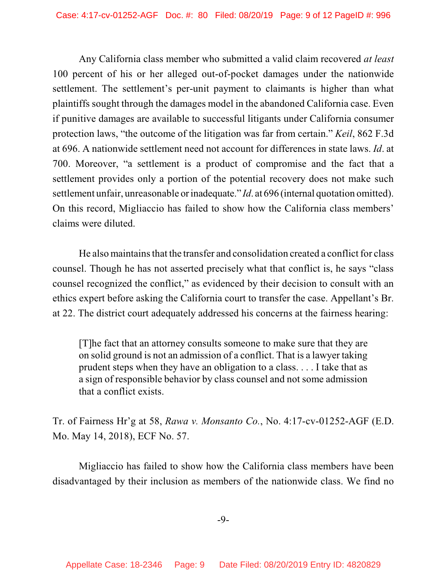Any California class member who submitted a valid claim recovered *at least* 100 percent of his or her alleged out-of-pocket damages under the nationwide settlement. The settlement's per-unit payment to claimants is higher than what plaintiffs sought through the damages model in the abandoned California case. Even if punitive damages are available to successful litigants under California consumer protection laws, "the outcome of the litigation was far from certain." *Keil*, 862 F.3d at 696. A nationwide settlement need not account for differences in state laws. *Id*. at 700. Moreover, "a settlement is a product of compromise and the fact that a settlement provides only a portion of the potential recovery does not make such settlement unfair, unreasonable orinadequate." *Id.* at 696 (internal quotation omitted). On this record, Migliaccio has failed to show how the California class members' claims were diluted.

He also maintains that the transfer and consolidation created a conflict for class counsel. Though he has not asserted precisely what that conflict is, he says "class counsel recognized the conflict," as evidenced by their decision to consult with an ethics expert before asking the California court to transfer the case. Appellant's Br. at 22. The district court adequately addressed his concerns at the fairness hearing:

[T]he fact that an attorney consults someone to make sure that they are on solid ground is not an admission of a conflict. That is a lawyer taking prudent steps when they have an obligation to a class. . . . I take that as a sign of responsible behavior by class counsel and not some admission that a conflict exists.

Tr. of Fairness Hr'g at 58, *Rawa v. Monsanto Co.*, No. 4:17-cv-01252-AGF (E.D. Mo. May 14, 2018), ECF No. 57.

Migliaccio has failed to show how the California class members have been disadvantaged by their inclusion as members of the nationwide class. We find no

-9-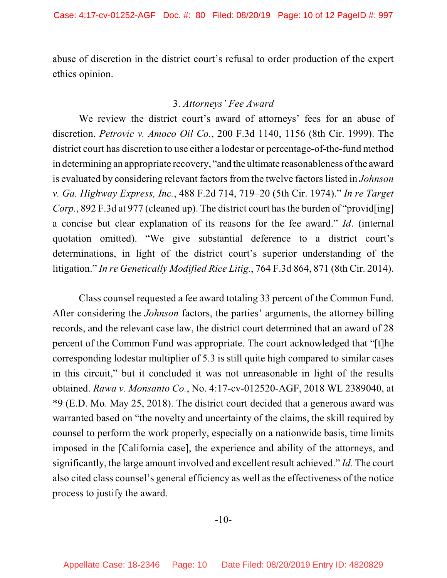abuse of discretion in the district court's refusal to order production of the expert ethics opinion.

#### 3. *Attorneys' Fee Award*

We review the district court's award of attorneys' fees for an abuse of discretion. *Petrovic v. Amoco Oil Co.*, 200 F.3d 1140, 1156 (8th Cir. 1999). The district court has discretion to use either a lodestar or percentage-of-the-fund method in determining an appropriate recovery, "and the ultimate reasonableness of the award is evaluated by considering relevant factors from the twelve factors listed in *Johnson v. Ga. Highway Express, Inc.*, 488 F.2d 714, 719–20 (5th Cir. 1974)." *In re Target Corp.*, 892 F.3d at 977 (cleaned up). The district court has the burden of "provid[ing] a concise but clear explanation of its reasons for the fee award." *Id*. (internal quotation omitted). "We give substantial deference to a district court's determinations, in light of the district court's superior understanding of the litigation." *In re Genetically Modified Rice Litig.*, 764 F.3d 864, 871 (8th Cir. 2014).

Class counsel requested a fee award totaling 33 percent of the Common Fund. After considering the *Johnson* factors, the parties' arguments, the attorney billing records, and the relevant case law, the district court determined that an award of 28 percent of the Common Fund was appropriate. The court acknowledged that "[t]he corresponding lodestar multiplier of 5.3 is still quite high compared to similar cases in this circuit," but it concluded it was not unreasonable in light of the results obtained. *Rawa v. Monsanto Co.*, No. 4:17-cv-012520-AGF, 2018 WL 2389040, at \*9 (E.D. Mo. May 25, 2018). The district court decided that a generous award was warranted based on "the novelty and uncertainty of the claims, the skill required by counsel to perform the work properly, especially on a nationwide basis, time limits imposed in the [California case], the experience and ability of the attorneys, and significantly, the large amount involved and excellent result achieved." *Id*. The court also cited class counsel's general efficiency as well as the effectiveness of the notice process to justify the award.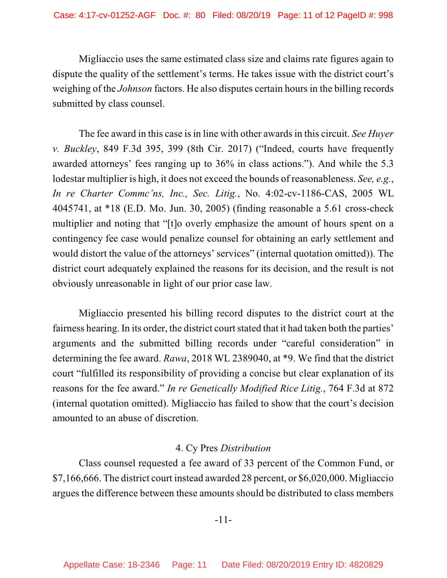Migliaccio uses the same estimated class size and claims rate figures again to dispute the quality of the settlement's terms. He takes issue with the district court's weighing of the *Johnson* factors. He also disputes certain hours in the billing records submitted by class counsel.

The fee award in this case is in line with other awards in this circuit. *See Huyer v. Buckley*, 849 F.3d 395, 399 (8th Cir. 2017) ("Indeed, courts have frequently awarded attorneys' fees ranging up to 36% in class actions."). And while the 5.3 lodestar multiplier is high, it does not exceed the bounds of reasonableness. *See, e.g.*, *In re Charter Commc'ns, Inc., Sec. Litig.*, No. 4:02-cv-1186-CAS, 2005 WL 4045741, at \*18 (E.D. Mo. Jun. 30, 2005) (finding reasonable a 5.61 cross-check multiplier and noting that "[t]o overly emphasize the amount of hours spent on a contingency fee case would penalize counsel for obtaining an early settlement and would distort the value of the attorneys' services" (internal quotation omitted)). The district court adequately explained the reasons for its decision, and the result is not obviously unreasonable in light of our prior case law.

Migliaccio presented his billing record disputes to the district court at the fairness hearing. In its order, the district court stated that it had taken both the parties' arguments and the submitted billing records under "careful consideration" in determining the fee award. *Rawa*, 2018 WL 2389040, at \*9. We find that the district court "fulfilled its responsibility of providing a concise but clear explanation of its reasons for the fee award." *In re Genetically Modified Rice Litig.*, 764 F.3d at 872 (internal quotation omitted). Migliaccio has failed to show that the court's decision amounted to an abuse of discretion.

## 4. Cy Pres *Distribution*

Class counsel requested a fee award of 33 percent of the Common Fund, or \$7,166,666. The district court instead awarded 28 percent, or \$6,020,000. Migliaccio argues the difference between these amounts should be distributed to class members

### -11-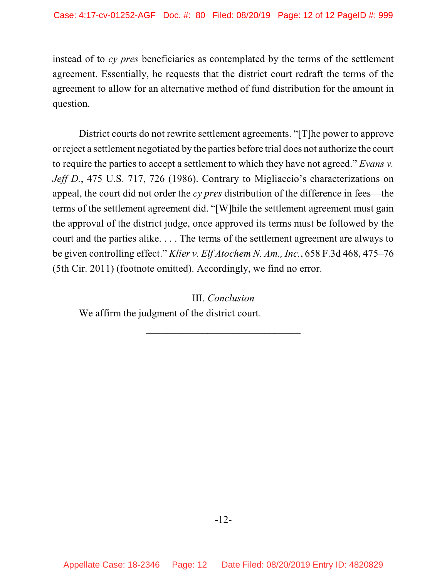instead of to *cy pres* beneficiaries as contemplated by the terms of the settlement agreement. Essentially, he requests that the district court redraft the terms of the agreement to allow for an alternative method of fund distribution for the amount in question.

District courts do not rewrite settlement agreements. "[T]he power to approve or reject a settlement negotiated by the parties before trial does not authorize the court to require the parties to accept a settlement to which they have not agreed." *Evans v. Jeff D.*, 475 U.S. 717, 726 (1986). Contrary to Migliaccio's characterizations on appeal, the court did not order the *cy pres* distribution of the difference in fees—the terms of the settlement agreement did. "[W]hile the settlement agreement must gain the approval of the district judge, once approved its terms must be followed by the court and the parties alike. . . . The terms of the settlement agreement are always to be given controlling effect." *Klier v. Elf Atochem N. Am., Inc.*, 658 F.3d 468, 475–76 (5th Cir. 2011) (footnote omitted). Accordingly, we find no error.

 $\mathcal{L}_\mathcal{L}$  , where  $\mathcal{L}_\mathcal{L}$  is the set of the set of the set of the set of the set of the set of the set of the set of the set of the set of the set of the set of the set of the set of the set of the set of the

III. *Conclusion* We affirm the judgment of the district court.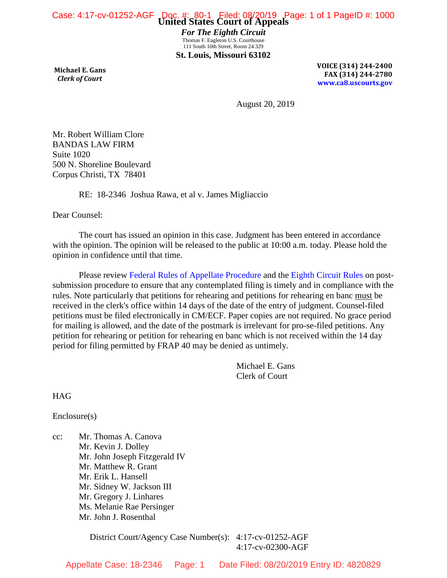*For The Eighth Circuit* Thomas F. Eagleton U.S. Courthouse 111 South 10th Street, Room 24.329 **St. Louis, Missouri 63102**

**Michael E. Gans**  *Clerk of Court*

**VOICE (314) 244-2400 FAX (314) 244-2780 [www.ca8.uscourts.gov](http://www.ca8.uscourts.gov/)**

August 20, 2019

Mr. Robert William Clore BANDAS LAW FIRM Suite 1020 500 N. Shoreline Boulevard Corpus Christi, TX 78401

RE: 18-2346 Joshua Rawa, et al v. James Migliaccio

Dear Counsel:

The court has issued an opinion in this case. Judgment has been entered in accordance with the opinion. The opinion will be released to the public at 10:00 a.m. today. Please hold the opinion in confidence until that time.

Please review [Federal Rules of Appellate Procedure](http://www.uscourts.gov/uscourts/rules/appellate-procedure.pdf) and the [Eighth Circuit Rules](http://media.ca8.uscourts.gov/newrules/coa/localrules.pdf) on postsubmission procedure to ensure that any contemplated filing is timely and in compliance with the rules. Note particularly that petitions for rehearing and petitions for rehearing en banc must be received in the clerk's office within 14 days of the date of the entry of judgment. Counsel-filed petitions must be filed electronically in CM/ECF. Paper copies are not required. No grace period for mailing is allowed, and the date of the postmark is irrelevant for pro-se-filed petitions. Any petition for rehearing or petition for rehearing en banc which is not received within the 14 day period for filing permitted by FRAP 40 may be denied as untimely.

> Michael E. Gans Clerk of Court

**HAG** 

Enclosure(s)

cc: Mr. Thomas A. Canova Mr. Kevin J. Dolley Mr. John Joseph Fitzgerald IV Mr. Matthew R. Grant Mr. Erik L. Hansell Mr. Sidney W. Jackson III Mr. Gregory J. Linhares Ms. Melanie Rae Persinger Mr. John J. Rosenthal

> District Court/Agency Case Number(s): 4:17-cv-01252-AGF 4:17-cv-02300-AGF